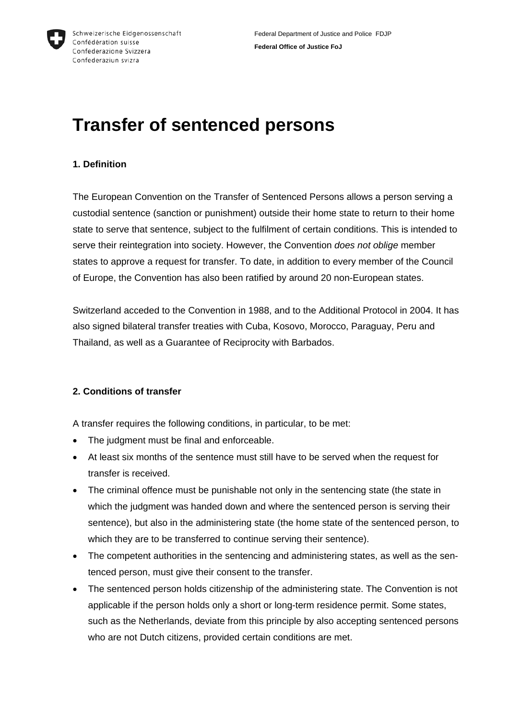

# **Transfer of sentenced persons**

## **1. Definition**

The European Convention on the Transfer of Sentenced Persons allows a person serving a custodial sentence (sanction or punishment) outside their home state to return to their home state to serve that sentence, subject to the fulfilment of certain conditions. This is intended to serve their reintegration into society. However, the Convention *does not oblige* member states to approve a request for transfer. To date, in addition to every member of the Council of Europe, the Convention has also been ratified by around 20 non-European states.

Switzerland acceded to the Convention in 1988, and to the Additional Protocol in 2004. It has also signed bilateral transfer treaties with Cuba, Kosovo, Morocco, Paraguay, Peru and Thailand, as well as a Guarantee of Reciprocity with Barbados.

## **2. Conditions of transfer**

A transfer requires the following conditions, in particular, to be met:

- The judgment must be final and enforceable.
- At least six months of the sentence must still have to be served when the request for transfer is received.
- The criminal offence must be punishable not only in the sentencing state (the state in which the judgment was handed down and where the sentenced person is serving their sentence), but also in the administering state (the home state of the sentenced person, to which they are to be transferred to continue serving their sentence).
- The competent authorities in the sentencing and administering states, as well as the sentenced person, must give their consent to the transfer.
- The sentenced person holds citizenship of the administering state. The Convention is not applicable if the person holds only a short or long-term residence permit. Some states, such as the Netherlands, deviate from this principle by also accepting sentenced persons who are not Dutch citizens, provided certain conditions are met.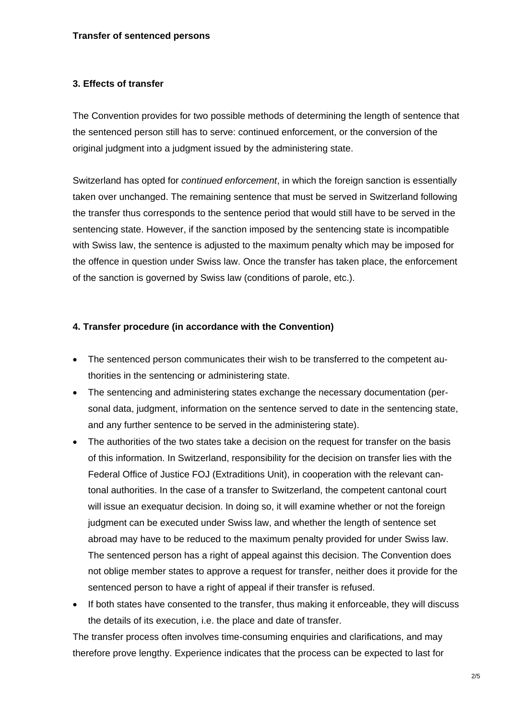#### **3. Effects of transfer**

The Convention provides for two possible methods of determining the length of sentence that the sentenced person still has to serve: continued enforcement, or the conversion of the original judgment into a judgment issued by the administering state.

Switzerland has opted for *continued enforcement*, in which the foreign sanction is essentially taken over unchanged. The remaining sentence that must be served in Switzerland following the transfer thus corresponds to the sentence period that would still have to be served in the sentencing state. However, if the sanction imposed by the sentencing state is incompatible with Swiss law, the sentence is adjusted to the maximum penalty which may be imposed for the offence in question under Swiss law. Once the transfer has taken place, the enforcement of the sanction is governed by Swiss law (conditions of parole, etc.).

#### **4. Transfer procedure (in accordance with the Convention)**

- The sentenced person communicates their wish to be transferred to the competent authorities in the sentencing or administering state.
- The sentencing and administering states exchange the necessary documentation (personal data, judgment, information on the sentence served to date in the sentencing state, and any further sentence to be served in the administering state).
- The authorities of the two states take a decision on the request for transfer on the basis of this information. In Switzerland, responsibility for the decision on transfer lies with the Federal Office of Justice FOJ (Extraditions Unit), in cooperation with the relevant cantonal authorities. In the case of a transfer to Switzerland, the competent cantonal court will issue an exequatur decision. In doing so, it will examine whether or not the foreign judgment can be executed under Swiss law, and whether the length of sentence set abroad may have to be reduced to the maximum penalty provided for under Swiss law. The sentenced person has a right of appeal against this decision. The Convention does not oblige member states to approve a request for transfer, neither does it provide for the sentenced person to have a right of appeal if their transfer is refused.
- If both states have consented to the transfer, thus making it enforceable, they will discuss the details of its execution, i.e. the place and date of transfer.

The transfer process often involves time-consuming enquiries and clarifications, and may therefore prove lengthy. Experience indicates that the process can be expected to last for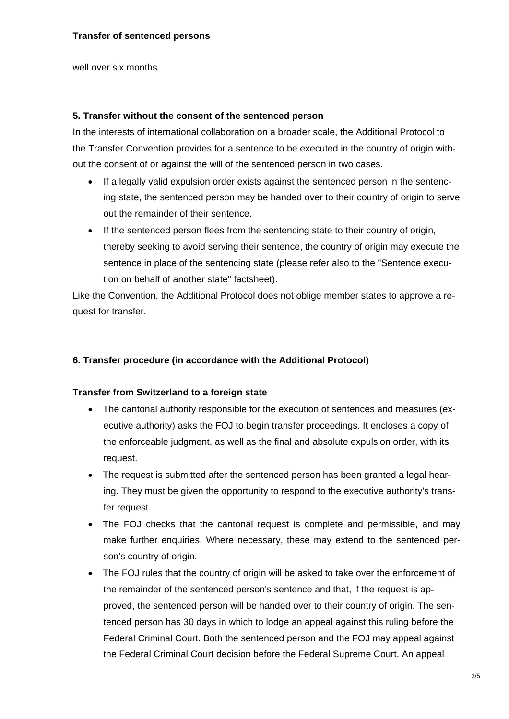well over six months.

#### **5. Transfer without the consent of the sentenced person**

In the interests of international collaboration on a broader scale, the Additional Protocol to the Transfer Convention provides for a sentence to be executed in the country of origin without the consent of or against the will of the sentenced person in two cases.

- If a legally valid expulsion order exists against the sentenced person in the sentencing state, the sentenced person may be handed over to their country of origin to serve out the remainder of their sentence.
- If the sentenced person flees from the sentencing state to their country of origin, thereby seeking to avoid serving their sentence, the country of origin may execute the sentence in place of the sentencing state (please refer also to the "Sentence execution on behalf of another state" factsheet).

Like the Convention, the Additional Protocol does not oblige member states to approve a request for transfer.

## **6. Transfer procedure (in accordance with the Additional Protocol)**

#### **Transfer from Switzerland to a foreign state**

- The cantonal authority responsible for the execution of sentences and measures (executive authority) asks the FOJ to begin transfer proceedings. It encloses a copy of the enforceable judgment, as well as the final and absolute expulsion order, with its request.
- The request is submitted after the sentenced person has been granted a legal hearing. They must be given the opportunity to respond to the executive authority's transfer request.
- The FOJ checks that the cantonal request is complete and permissible, and may make further enquiries. Where necessary, these may extend to the sentenced person's country of origin.
- The FOJ rules that the country of origin will be asked to take over the enforcement of the remainder of the sentenced person's sentence and that, if the request is approved, the sentenced person will be handed over to their country of origin. The sentenced person has 30 days in which to lodge an appeal against this ruling before the Federal Criminal Court. Both the sentenced person and the FOJ may appeal against the Federal Criminal Court decision before the Federal Supreme Court. An appeal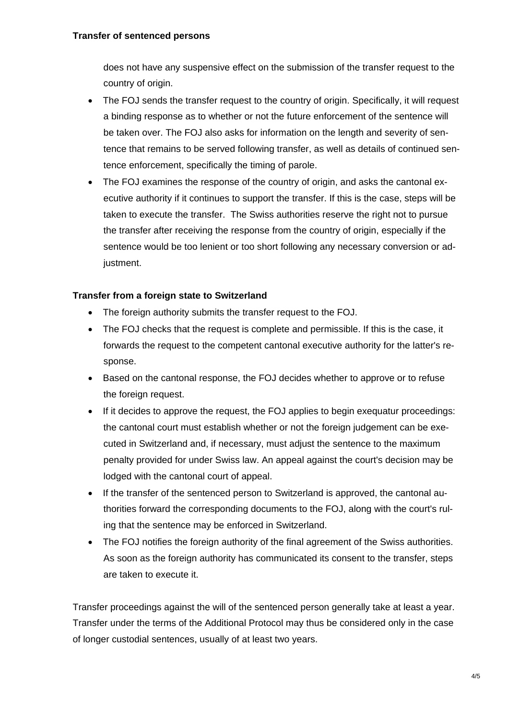#### **Transfer of sentenced persons**

does not have any suspensive effect on the submission of the transfer request to the country of origin.

- The FOJ sends the transfer request to the country of origin. Specifically, it will request a binding response as to whether or not the future enforcement of the sentence will be taken over. The FOJ also asks for information on the length and severity of sentence that remains to be served following transfer, as well as details of continued sentence enforcement, specifically the timing of parole.
- The FOJ examines the response of the country of origin, and asks the cantonal executive authority if it continues to support the transfer. If this is the case, steps will be taken to execute the transfer. The Swiss authorities reserve the right not to pursue the transfer after receiving the response from the country of origin, especially if the sentence would be too lenient or too short following any necessary conversion or adjustment.

#### **Transfer from a foreign state to Switzerland**

- The foreign authority submits the transfer request to the FOJ.
- The FOJ checks that the request is complete and permissible. If this is the case, it forwards the request to the competent cantonal executive authority for the latter's response.
- Based on the cantonal response, the FOJ decides whether to approve or to refuse the foreign request.
- If it decides to approve the request, the FOJ applies to begin exequatur proceedings: the cantonal court must establish whether or not the foreign judgement can be executed in Switzerland and, if necessary, must adjust the sentence to the maximum penalty provided for under Swiss law. An appeal against the court's decision may be lodged with the cantonal court of appeal.
- If the transfer of the sentenced person to Switzerland is approved, the cantonal authorities forward the corresponding documents to the FOJ, along with the court's ruling that the sentence may be enforced in Switzerland.
- The FOJ notifies the foreign authority of the final agreement of the Swiss authorities. As soon as the foreign authority has communicated its consent to the transfer, steps are taken to execute it.

Transfer proceedings against the will of the sentenced person generally take at least a year. Transfer under the terms of the Additional Protocol may thus be considered only in the case of longer custodial sentences, usually of at least two years.